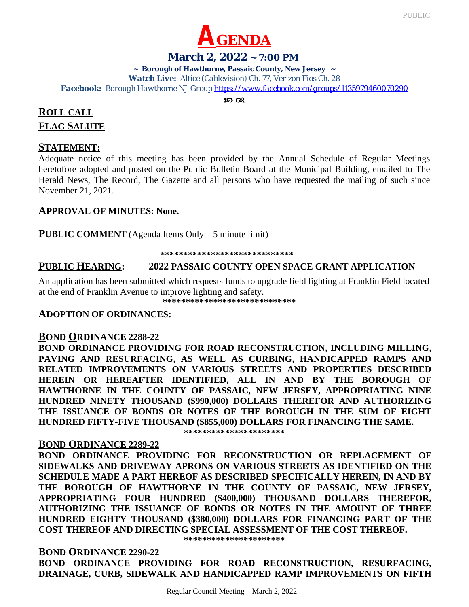

#### **March 2, 2022 ~ 7:00 PM**

**~ Borough of Hawthorne, Passaic County, New Jersey ~**

*Watch Live: Altice (Cablevision) Ch. 77, Verizon Fios Ch. 28*

*Facebook: Borough Hawthorne NJ Group <https://www.facebook.com/groups/1135979460070290>*

 $80 \Omega$ 

# **ROLL CALL FLAG SALUTE**

# **STATEMENT:**

Adequate notice of this meeting has been provided by the Annual Schedule of Regular Meetings heretofore adopted and posted on the Public Bulletin Board at the Municipal Building, emailed to The Herald News, The Record, The Gazette and all persons who have requested the mailing of such since November 21, 2021.

# **APPROVAL OF MINUTES: None.**

**PUBLIC COMMENT** (Agenda Items Only – 5 minute limit)

 **\*\*\*\*\*\*\*\*\*\*\*\*\*\*\*\*\*\*\*\*\*\*\*\*\*\*\*\*\***

# **PUBLIC HEARING: 2022 PASSAIC COUNTY OPEN SPACE GRANT APPLICATION**

An application has been submitted which requests funds to upgrade field lighting at Franklin Field located at the end of Franklin Avenue to improve lighting and safety.

 **\*\*\*\*\*\*\*\*\*\*\*\*\*\*\*\*\*\*\*\*\*\*\*\*\*\*\*\*\***

# **ADOPTION OF ORDINANCES:**

### **BOND ORDINANCE 2288-22**

**BOND ORDINANCE PROVIDING FOR ROAD RECONSTRUCTION, INCLUDING MILLING, PAVING AND RESURFACING, AS WELL AS CURBING, HANDICAPPED RAMPS AND RELATED IMPROVEMENTS ON VARIOUS STREETS AND PROPERTIES DESCRIBED HEREIN OR HEREAFTER IDENTIFIED, ALL IN AND BY THE BOROUGH OF HAWTHORNE IN THE COUNTY OF PASSAIC, NEW JERSEY, APPROPRIATING NINE HUNDRED NINETY THOUSAND (\$990,000) DOLLARS THEREFOR AND AUTHORIZING THE ISSUANCE OF BONDS OR NOTES OF THE BOROUGH IN THE SUM OF EIGHT HUNDRED FIFTY-FIVE THOUSAND (\$855,000) DOLLARS FOR FINANCING THE SAME.**

**\*\*\*\*\*\*\*\*\*\*\*\*\*\*\*\*\*\*\*\*\*\***

# **BOND ORDINANCE 2289-22**

**BOND ORDINANCE PROVIDING FOR RECONSTRUCTION OR REPLACEMENT OF SIDEWALKS AND DRIVEWAY APRONS ON VARIOUS STREETS AS IDENTIFIED ON THE SCHEDULE MADE A PART HEREOF AS DESCRIBED SPECIFICALLY HEREIN, IN AND BY THE BOROUGH OF HAWTHORNE IN THE COUNTY OF PASSAIC, NEW JERSEY, APPROPRIATING FOUR HUNDRED (\$400,000) THOUSAND DOLLARS THEREFOR, AUTHORIZING THE ISSUANCE OF BONDS OR NOTES IN THE AMOUNT OF THREE HUNDRED EIGHTY THOUSAND (\$380,000) DOLLARS FOR FINANCING PART OF THE COST THEREOF AND DIRECTING SPECIAL ASSESSMENT OF THE COST THEREOF.**

**\*\*\*\*\*\*\*\*\*\*\*\*\*\*\*\*\*\*\*\*\*\***

**BOND ORDINANCE 2290-22 BOND ORDINANCE PROVIDING FOR ROAD RECONSTRUCTION, RESURFACING, DRAINAGE, CURB, SIDEWALK AND HANDICAPPED RAMP IMPROVEMENTS ON FIFTH**